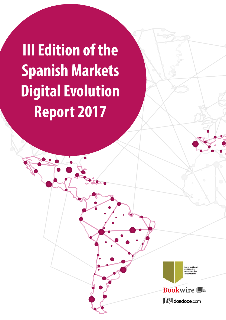**III Edition of the Spanish Markets Digital Evolution Report 2017**

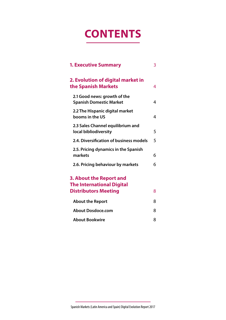# **CONTENTS**

| <b>1. Executive Summary</b>                                                                       | 3 |
|---------------------------------------------------------------------------------------------------|---|
| 2. Evolution of digital market in<br>the Spanish Markets                                          | 4 |
| 2.1 Good news: growth of the<br><b>Spanish Domestic Market</b>                                    | 4 |
| 2.2 The Hispanic digital market<br>booms in the US                                                | 4 |
| 2.3 Sales Channel equilibrium and<br>local bibliodiversity                                        | 5 |
| 2.4. Diversification of business models                                                           | 5 |
| 2.5. Pricing dynamics in the Spanish<br>markets                                                   | 6 |
| 2.6. Pricing behaviour by markets                                                                 | 6 |
| <b>3. About the Report and</b><br><b>The International Digital</b><br><b>Distributors Meeting</b> | 8 |
| <b>About the Report</b>                                                                           | 8 |
| <b>About Dosdoce.com</b>                                                                          | 8 |
| <b>About Bookwire</b>                                                                             | 8 |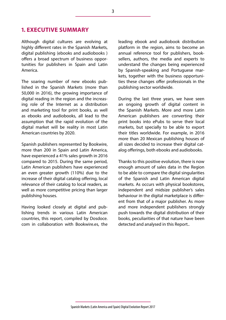## <span id="page-2-0"></span>**1. EXECUTIVE SUMMARY**

Although digital cultures are evolving at highly different rates in the Spanish Markets, digital publishing (ebooks and audiobooks ) offers a broad spectrum of business opportunities for publishers in Spain and Latin America.

The soaring number of new ebooks published in the Spanish Markets (more than 50,000 in 2016), the growing importance of digital reading in the region and the increasing role of the Internet as a distribution and marketing tool for print books, as well as ebooks and audiobooks, all lead to the assumption that the rapid evolution of the digital market will be reality in most Latin American countries by 2020.

Spanish publishers represented by Bookwire, more than 200 in Spain and Latin America, have experienced a 41% sales growth in 2016 compared to 2015. During the same period, Latin American publishers have experienced an even greater growth (110%) due to the increase of their digital catalog offering, local relevance of their catalog to local readers, as well as more competitive pricing than larger publishing houses.

Having looked closely at digital and publishing trends in various Latin American countries, this report, compiled by Dosdoce. com in collaboration with Bookwire.es, the leading ebook and audiobook distribution platform in the region, aims to become an annual reference tool for publishers, booksellers, authors, the media and experts to understand the changes being experienced by Spanish-speaking and Portuguese markets, together with the business opportunities these changes offer professionals in the publishing sector worldwide.

During the last three years, we have seen an ongoing growth of digital content in the Spanish Markets. More and more Latin American publishers are converting their print books into ePubs to serve their local markets, but specially to be able to export their titles worldwide. For example, in 2016 more than 20 Mexican publishing houses of all sizes decided to increase their digital catalog offerings, both ebooks and audiobooks.

Thanks to this positive evolution, there is now enough amount of sales data in the Region to be able to compare the digital singularities of the Spanish and Latin American digital markets. As occurs with physical bookstores, independent and midsize publisher's sales behaviour in the digital marketplace is different from that of a major publisher. As more and more independent publishers strongly push towards the digital distribution of their books, peculiarities of that nature have been detected and analysed in this Report..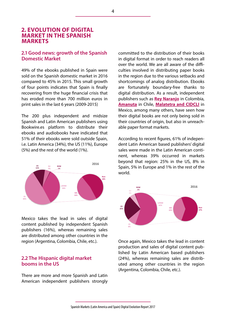## <span id="page-3-0"></span>**2. EVOLUTION OF DIGITAL MARKET IN THE SPANISH MARKETS**

#### **2.1 Good news: growth of the Spanish Domestic Market**

49% of the ebooks published in Spain were sold on the Spanish domestic market in 2016 compared to 45% in 2015. This small growth of four points indicates that Spain is finally recovering from the huge financial crisis that has eroded more than 700 million euros in print sales in the last 6 years (2009-2015)

The 200 plus independent and midsize Spanish and Latin American publishers using Bookwire.es platform to distribute their ebooks and audiobooks have indicated that 51% of their ebooks were sold outside Spain, i.e. Latin America (34%), the US (11%), Europe (5%) and the rest of the world (1%).



Mexico takes the lead in sales of digital content published by independent Spanish publishers (16%), whereas remaining sales are distributed among other countries in the region (Argentina, Colombia, Chile, etc.).

#### **2.2 The Hispanic digital market booms in the US**

There are more and more Spanish and Latin American independent publishers strongly committed to the distribution of their books in digital format in order to reach readers all over the world. We are all aware of the difficulties involved in distributing paper books in the region due to the various setbacks and shortcomings of analog distribution. Ebooks are fortunately boundary-free thanks to digital distribution. As a result, independent publishers such as **[Rey Naranjo](http://www.reynaranjo.net/)** in Colombia, **[Amanuta](http://www.amanuta.cl/)** in Chile, **[Malatetra](http://libros.malaletra.com/) and CIDCLI** in Mexico, among many others, have seen how their digital books are not only being sold in their countries of origin, but also in unreachable paper format markets.

According to recent figures, 61% of independent Latin American based publishers' digital sales were made in the Latin American continent, whereas 39% occurred in markets beyond that region: 25% in the US, 8% in Spain, 5% in Europe and 1% in the rest of the world.



Once again, Mexico takes the lead in content production and sales of digital content published by Latin American based publishers (24%), whereas remaining sales are distributed among other countries in the region (Argentina, Colombia, Chile, etc.).

4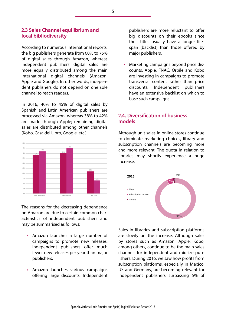### <span id="page-4-0"></span>**2.3 Sales Channel equilibrium and local bibliodiversity**

According to numerous international reports, the big publishers generate from 60% to 75% of digital sales through Amazon, whereas independent publishers' digital sales are more equally distributed among the main international digital channels (Amazon, Apple and Google). In other words, independent publishers do not depend on one sole channel to reach readers.

In 2016, 40% to 45% of digital sales by Spanish and Latin American publishers are processed via Amazon, whereas 38% to 42% are made through Apple; remaining digital sales are distributed among other channels (Kobo, Casa del Libro, Google, etc.).



The reasons for the decreasing dependence on Amazon are due to certain common characteristics of independent publishers and may be summarised as follows:

- Amazon launches a large number of campaigns to promote new releases. Independent publishers offer much fewer new releases per year than major publishers.
- Amazon launches various campaigns offering large discounts. Independent

publishers are more reluctant to offer big discounts on their ebooks since their titles usually have a longer lifespan (backlist) than those offered by major publishers.

• Marketing campaigns beyond price discounts. Apple, FNAC, Orbile and Kobo are investing in campaigns to promote transversal content rather than price discounts. Independent publishers have an extensive backlist on which to base such campaigns.

## **2.4. Diversification of business models**

Although unit sales in online stores continue to dominate marketing choices, library and subscription channels are becoming more and more relevant. The quota in relation to libraries may shortly experience a huge increase.



Sales in libraries and subscription platforms are slowly on the increase. Although sales by stores such as Amazon, Apple, Kobo, among others, continue to be the main sales channels for independent and midsize publishers. During 2016, we saw how profits from subscription platforms, especially in Mexico, US and Germany, are becoming relevant for independent publishers surpassing 5% of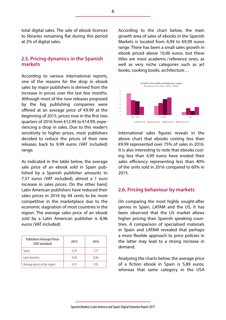<span id="page-5-0"></span>total digital sales. The sale of ebook licences to libraries remaining flat during this period at 2% of digital sales.

### **2.5. Pricing dynamics in the Spanish markets**

According to various international reports, one of the reasons for the drop in ebook sales by major publishers is derived from the increase in prices over the last few months. Although most of the new releases proposed by the big publishing companies were offered at an average price of €9.99 at the beginning of 2015, prices rose in the first two quarters of 2016 from €12.99 to €14.99, experiencing a drop in sales. Due to this reader's sensitivity to higher prices, most publishers decided to reduce the prices of their new releases back to 9,99 euros (VAT included) range.

As indicated in the table below, the average sale price of an ebook sold in Spain published by a Spanish publisher amounts to 7,57 euros (VAT included), almost a 1 euro increase in sales prices. On the other hand, Latin American publishers have reduced their sales prices in 2016 by 44 cents to be more competitive in the marketplace due to the economic stagnation of most countries in the region. The average sales price of an ebook sold by a Latin American publisher is 8,96 euros (VAT included)

| <b>Publishers Average Prices</b><br>(VAT included) | 2015 | 2016 |
|----------------------------------------------------|------|------|
| Spain                                              | 6,59 | 7.57 |
| Latin America                                      | 9.40 | 8,96 |
| Average prices in the region                       | 6.91 | 7,83 |

According to the chart below, the main growth area of sales of ebooks in the Spanish Markets is located from 4,99 to €9,99 euros range. There has been a small sales growth in ebook priced above 10,00 euros, but these titles are most academic /reference ones, as well as very niche categories such as art books, cooking books, architecture…



International sales figures reveals in the above chart that ebooks costing less than €9.99 represented over 75% of sales in 2016. It is also interesting to note that ebooks costing less than 4,99 euros have eroded their sales efficiency representing less than 40% of the units sold in 2016 compared to 60% in 2015.

#### **2.6. Pricing behaviour by markets**

On comparing the most highly sought-after genres in Spain, LATAM and the US, it has been observed that the US market allows higher pricing than Spanish speaking countries. A comparison of specialised materials in Spain and LATAM revealed that perhaps a more flexible approach to price policies in the latter may lead to a strong increase in demand.

Analyzing the charts below, the average price of a fiction ebook in Spain is 5,89 euros, whereas that same category in the USA

6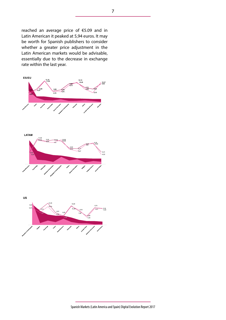reached an average price of €5.09 and in Latin American it peaked at 5,94 euros. It may be worth for Spanish publishers to consider whether a greater price adjustment in the Latin American markets would be advisable, essentially due to the decrease in exchange rate within the last year.



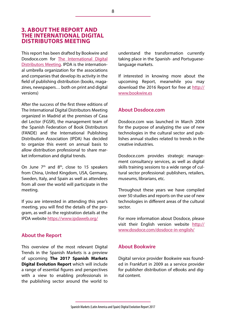## <span id="page-7-0"></span>**3. ABOUT THE REPORT AND THE INTERNATIONAL DIGITAL DISTRIBUTORS MEETING**

This report has been drafted by Bookwire and Dosdoce.com for [The International Digital](https://www.ipdaweb.org/) [Distributors Meeting](https://www.ipdaweb.org/). IPDA is the international umbrella organization for the associations and companies that develop its activity in the field of publishing distribution (books, magazines, newspapers… both on print and digital versions)

After the success of the first three editions of The International Digital Distributors Meeting organized in Madrid at the premises of Casa del Lector (FGSR), the management team of the Spanish Federation of Book Distributors (FANDE) and the International Publishing Distribution Association (IPDA) has decided to organize this event on annual basis to allow distribution professional to share market information and digital trends.

On June  $7<sup>th</sup>$  and  $8<sup>th</sup>$ , close to 15 speakers from China, United Kingdom, USA, Germany, Sweden, Italy, and Spain as well as attendees from all over the world will participate in the meeting.

If you are interested in attending this year's meeting, you will find the details of the program, as well as the registration details at the IPDA website<https://www.ipdaweb.org/>

## **About the Report**

This overview of the most relevant Digital Trends in the Spanish Markets is a preview of upcoming **The 2017 Spanish Markets Digital Evolution Report** which will include a range of essential figures and perspectives with a view to enabling professionals in the publishing sector around the world to understand the transformation currently taking place in the Spanish- and Portugueselanguage markets.

If interested in knowing more about the upcoming Report, meanwhile you may download the 2016 Report for free at [http://](http://www.bookwire.es) [www.bookwire.es](http://www.bookwire.es)

#### **About Dosdoce.com**

Dosdoce.com was launched in March 2004 for the purpose of analyzing the use of new technologies in the cultural sector and publishes annual studies related to trends in the creative industries.

Dosdoce.com provides strategic management consultancy services, as well as digital skills training sessions to a wide range of cultural sector professional: publishers, retailers, museums, librarians, etc.

Throughout these years we have compiled over 50 studies and reports on the use of new technologies in different areas of the cultural sector.

For more information about Dosdoce, please visit their English version website [http://](http://www.dosdoce.com/dosdoce-in-english/%20) [www.dosdoce.com/dosdoce-in-english/](http://www.dosdoce.com/dosdoce-in-english/%20)

#### **About Bookwire**

Digital service provider Bookwire was founded in Frankfurt in 2009 as a service provider for publisher distribution of eBooks and digital content.